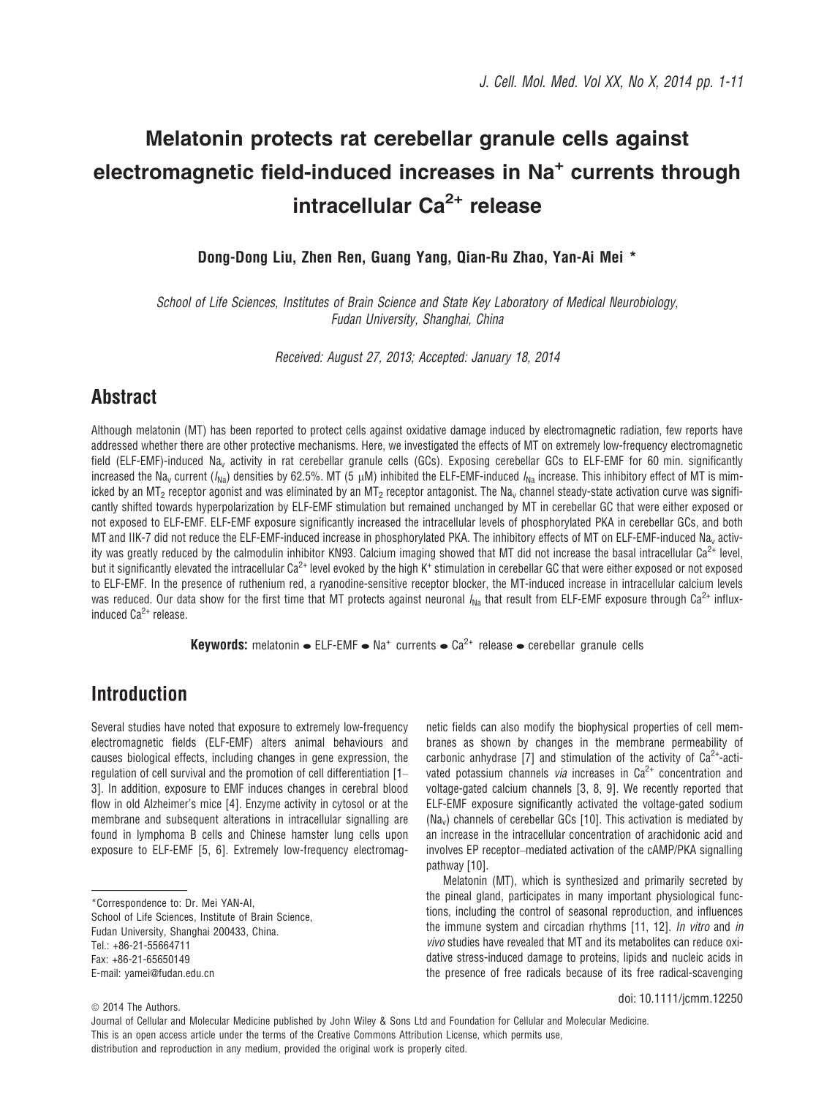# Melatonin protects rat cerebellar granule cells against electromagnetic field-induced increases in Na<sup>+</sup> currents through intracellular  $Ca^{2+}$  release

Dong-Dong Liu, Zhen Ren, Guang Yang, Qian-Ru Zhao, Yan-Ai Mei \*

School of Life Sciences, Institutes of Brain Science and State Key Laboratory of Medical Neurobiology, Fudan University, Shanghai, China

Received: August 27, 2013; Accepted: January 18, 2014

### **Abstract**

Although melatonin (MT) has been reported to protect cells against oxidative damage induced by electromagnetic radiation, few reports have addressed whether there are other protective mechanisms. Here, we investigated the effects of MT on extremely low-frequency electromagnetic field (ELF-EMF)-induced Na<sub>v</sub> activity in rat cerebellar granule cells (GCs). Exposing cerebellar GCs to ELF-EMF for 60 min. significantly increased the Na<sub>v</sub> current ( $I_{\text{Na}}$ ) densities by 62.5%. MT (5 µM) inhibited the ELF-EMF-induced  $I_{\text{Na}}$  increase. This inhibitory effect of MT is mimicked by an MT<sub>2</sub> receptor agonist and was eliminated by an MT<sub>2</sub> receptor antagonist. The Na<sub>v</sub> channel steady-state activation curve was significantly shifted towards hyperpolarization by ELF-EMF stimulation but remained unchanged by MT in cerebellar GC that were either exposed or not exposed to ELF-EMF. ELF-EMF exposure significantly increased the intracellular levels of phosphorylated PKA in cerebellar GCs, and both MT and IIK-7 did not reduce the ELF-EMF-induced increase in phosphorylated PKA. The inhibitory effects of MT on ELF-EMF-induced Nav activity was greatly reduced by the calmodulin inhibitor KN93. Calcium imaging showed that MT did not increase the basal intracellular  $Ca^{2+}$  level, but it significantly elevated the intracellular  $Ca^{2+}$  level evoked by the high K<sup>+</sup> stimulation in cerebellar GC that were either exposed or not exposed to ELF-EMF. In the presence of ruthenium red, a ryanodine-sensitive receptor blocker, the MT-induced increase in intracellular calcium levels was reduced. Our data show for the first time that MT protects against neuronal  $I_{\text{Na}}$  that result from ELF-EMF exposure through Ca<sup>2+</sup> influxinduced  $Ca^{2+}$  release.

**Keywords:** melatonin  $\bullet$  ELF-EMF  $\bullet$  Na<sup>+</sup> currents  $\bullet$  Ca<sup>2+</sup> release  $\bullet$  cerebellar granule cells

### Introduction

Several studies have noted that exposure to extremely low-frequency electromagnetic fields (ELF-EMF) alters animal behaviours and causes biological effects, including changes in gene expression, the regulation of cell survival and the promotion of cell differentiation [1– 3]. In addition, exposure to EMF induces changes in cerebral blood flow in old Alzheimer's mice [4]. Enzyme activity in cytosol or at the membrane and subsequent alterations in intracellular signalling are found in lymphoma B cells and Chinese hamster lung cells upon exposure to ELF-EMF [5, 6]. Extremely low-frequency electromag-

School of Life Sciences, Institute of Brain Science, Fudan University, Shanghai 200433, China. Tel.: +86-21-55664711 Fax: +86-21-65650149

netic fields can also modify the biophysical properties of cell membranes as shown by changes in the membrane permeability of carbonic anhydrase [7] and stimulation of the activity of  $Ca^{2+}$ -activated potassium channels *via* increases in  $Ca<sup>2+</sup>$  concentration and voltage-gated calcium channels [3, 8, 9]. We recently reported that ELF-EMF exposure significantly activated the voltage-gated sodium (Nav) channels of cerebellar GCs [10]. This activation is mediated by an increase in the intracellular concentration of arachidonic acid and involves EP receptor–mediated activation of the cAMP/PKA signalling pathway [10].

Melatonin (MT), which is synthesized and primarily secreted by the pineal gland, participates in many important physiological functions, including the control of seasonal reproduction, and influences the immune system and circadian rhythms [11, 12]. In vitro and in vivo studies have revealed that MT and its metabolites can reduce oxidative stress-induced damage to proteins, lipids and nucleic acids in the presence of free radicals because of its free radical-scavenging

doi: 10.1111/jcmm.12250

<sup>\*</sup>Correspondence to: Dr. Mei YAN-AI,

E-mail: yamei@fudan.edu.cn

 $©$  2014 The Authors.

Journal of Cellular and Molecular Medicine published by John Wiley & Sons Ltd and Foundation for Cellular and Molecular Medicine. This is an open access article under the terms of the Creative Commons Attribution License, which permits use, distribution and reproduction in any medium, provided the original work is properly cited.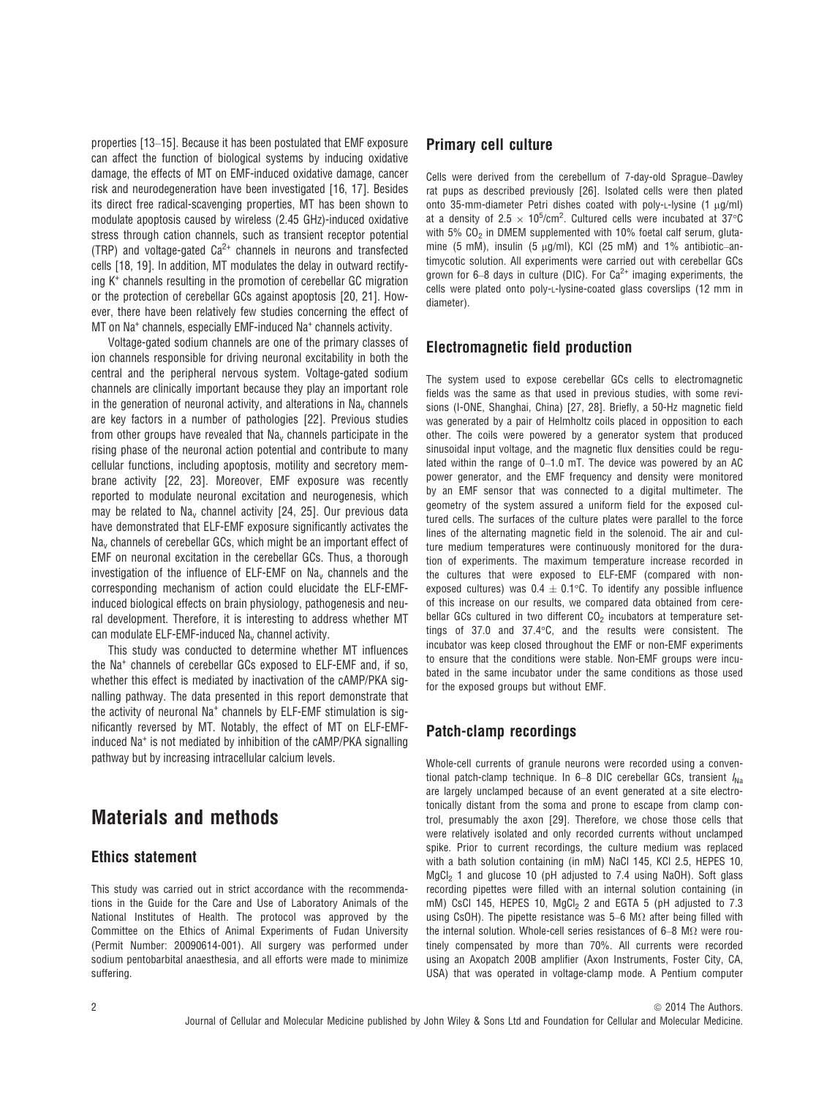properties [13–15]. Because it has been postulated that EMF exposure can affect the function of biological systems by inducing oxidative damage, the effects of MT on EMF-induced oxidative damage, cancer risk and neurodegeneration have been investigated [16, 17]. Besides its direct free radical-scavenging properties, MT has been shown to modulate apoptosis caused by wireless (2.45 GHz)-induced oxidative stress through cation channels, such as transient receptor potential (TRP) and voltage-gated  $Ca^{2+}$  channels in neurons and transfected cells [18, 19]. In addition, MT modulates the delay in outward rectifying K+ channels resulting in the promotion of cerebellar GC migration or the protection of cerebellar GCs against apoptosis [20, 21]. However, there have been relatively few studies concerning the effect of MT on Na<sup>+</sup> channels, especially EMF-induced Na<sup>+</sup> channels activity.

Voltage-gated sodium channels are one of the primary classes of ion channels responsible for driving neuronal excitability in both the central and the peripheral nervous system. Voltage-gated sodium channels are clinically important because they play an important role in the generation of neuronal activity, and alterations in  $Na<sub>v</sub>$  channels are key factors in a number of pathologies [22]. Previous studies from other groups have revealed that  $Na<sub>y</sub>$  channels participate in the rising phase of the neuronal action potential and contribute to many cellular functions, including apoptosis, motility and secretory membrane activity [22, 23]. Moreover, EMF exposure was recently reported to modulate neuronal excitation and neurogenesis, which may be related to  $Na<sub>y</sub>$  channel activity [24, 25]. Our previous data have demonstrated that ELF-EMF exposure significantly activates the Na<sub>v</sub> channels of cerebellar GCs, which might be an important effect of EMF on neuronal excitation in the cerebellar GCs. Thus, a thorough investigation of the influence of ELF-EMF on  $Na<sub>v</sub>$  channels and the corresponding mechanism of action could elucidate the ELF-EMFinduced biological effects on brain physiology, pathogenesis and neural development. Therefore, it is interesting to address whether MT can modulate ELF-EMF-induced Na<sub>v</sub> channel activity.

This study was conducted to determine whether MT influences the Na+ channels of cerebellar GCs exposed to ELF-EMF and, if so, whether this effect is mediated by inactivation of the cAMP/PKA signalling pathway. The data presented in this report demonstrate that the activity of neuronal Na<sup>+</sup> channels by ELF-EMF stimulation is significantly reversed by MT. Notably, the effect of MT on ELF-EMFinduced Na<sup>+</sup> is not mediated by inhibition of the cAMP/PKA signalling pathway but by increasing intracellular calcium levels.

## Materials and methods

#### Ethics statement

This study was carried out in strict accordance with the recommendations in the Guide for the Care and Use of Laboratory Animals of the National Institutes of Health. The protocol was approved by the Committee on the Ethics of Animal Experiments of Fudan University (Permit Number: 20090614-001). All surgery was performed under sodium pentobarbital anaesthesia, and all efforts were made to minimize suffering.

### Primary cell culture

Cells were derived from the cerebellum of 7-day-old Sprague–Dawley rat pups as described previously [26]. Isolated cells were then plated onto 35-mm-diameter Petri dishes coated with poly-L-lysine  $(1 \mu g/ml)$ at a density of 2.5  $\times$  10<sup>5</sup>/cm<sup>2</sup>. Cultured cells were incubated at 37°C with  $5\%$  CO<sub>2</sub> in DMEM supplemented with 10% foetal calf serum, glutamine (5 mM), insulin (5  $\mu$ g/ml), KCl (25 mM) and 1% antibiotic–antimycotic solution. All experiments were carried out with cerebellar GCs grown for 6–8 days in culture (DIC). For  $Ca^{2+}$  imaging experiments, the cells were plated onto poly-L-lysine-coated glass coverslips (12 mm in diameter).

### Electromagnetic field production

The system used to expose cerebellar GCs cells to electromagnetic fields was the same as that used in previous studies, with some revisions (I-ONE, Shanghai, China) [27, 28]. Briefly, a 50-Hz magnetic field was generated by a pair of Helmholtz coils placed in opposition to each other. The coils were powered by a generator system that produced sinusoidal input voltage, and the magnetic flux densities could be regulated within the range of 0–1.0 mT. The device was powered by an AC power generator, and the EMF frequency and density were monitored by an EMF sensor that was connected to a digital multimeter. The geometry of the system assured a uniform field for the exposed cultured cells. The surfaces of the culture plates were parallel to the force lines of the alternating magnetic field in the solenoid. The air and culture medium temperatures were continuously monitored for the duration of experiments. The maximum temperature increase recorded in the cultures that were exposed to ELF-EMF (compared with nonexposed cultures) was  $0.4 \pm 0.1$ °C. To identify any possible influence of this increase on our results, we compared data obtained from cerebellar GCs cultured in two different  $CO<sub>2</sub>$  incubators at temperature settings of 37.0 and 37.4°C, and the results were consistent. The incubator was keep closed throughout the EMF or non-EMF experiments to ensure that the conditions were stable. Non-EMF groups were incubated in the same incubator under the same conditions as those used for the exposed groups but without EMF.

### Patch-clamp recordings

Whole-cell currents of granule neurons were recorded using a conventional patch-clamp technique. In 6–8 DIC cerebellar GCs, transient  $I_{\text{Na}}$ are largely unclamped because of an event generated at a site electrotonically distant from the soma and prone to escape from clamp control, presumably the axon [29]. Therefore, we chose those cells that were relatively isolated and only recorded currents without unclamped spike. Prior to current recordings, the culture medium was replaced with a bath solution containing (in mM) NaCl 145, KCl 2.5, HEPES 10, MgCl<sub>2</sub> 1 and glucose 10 (pH adjusted to 7.4 using NaOH). Soft glass recording pipettes were filled with an internal solution containing (in mM) CsCl 145, HEPES 10, MgCl<sub>2</sub> 2 and EGTA 5 (pH adjusted to 7.3 using CsOH). The pipette resistance was 5–6 M $\Omega$  after being filled with the internal solution. Whole-cell series resistances of 6–8 MΩ were routinely compensated by more than 70%. All currents were recorded using an Axopatch 200B amplifier (Axon Instruments, Foster City, CA, USA) that was operated in voltage-clamp mode. A Pentium computer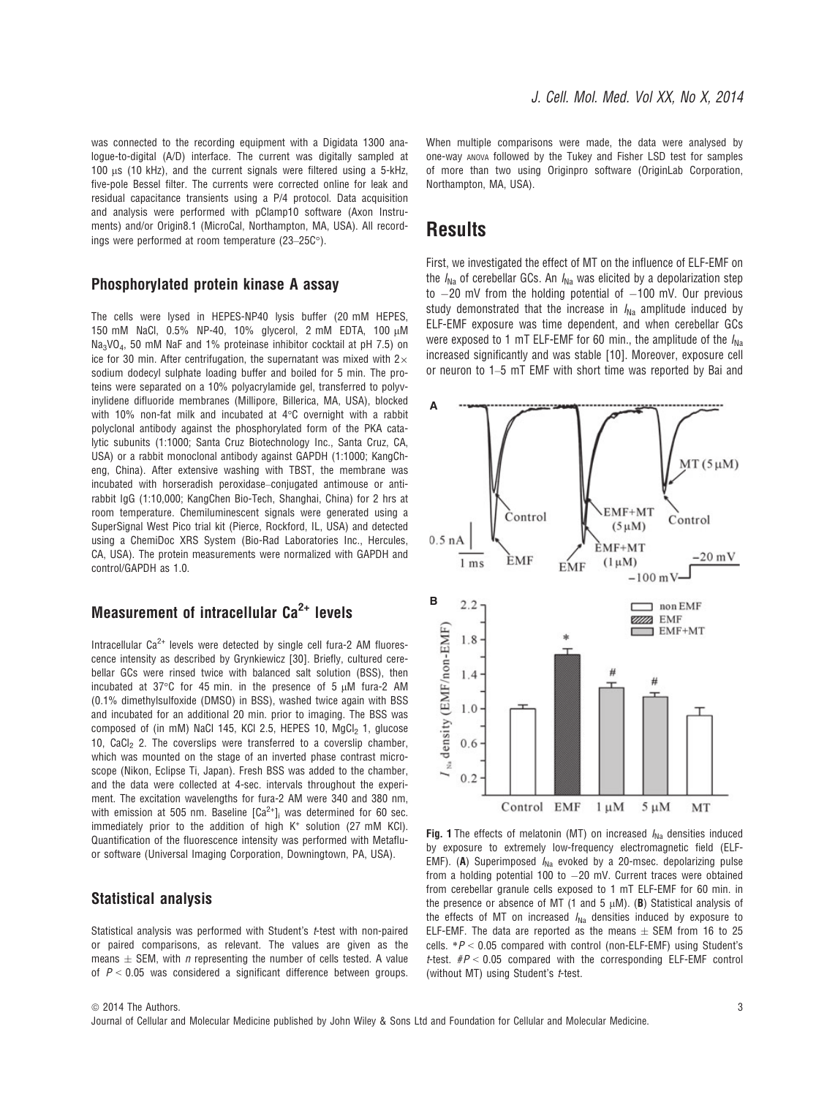was connected to the recording equipment with a Digidata 1300 analogue-to-digital (A/D) interface. The current was digitally sampled at  $100 \mu s$  (10 kHz), and the current signals were filtered using a 5-kHz, five-pole Bessel filter. The currents were corrected online for leak and residual capacitance transients using a P/4 protocol. Data acquisition and analysis were performed with pClamp10 software (Axon Instruments) and/or Origin8.1 (MicroCal, Northampton, MA, USA). All recordings were performed at room temperature (23–25C°).

#### Phosphorylated protein kinase A assay

The cells were lysed in HEPES-NP40 lysis buffer (20 mM HEPES 150 mM NaCl, 0.5% NP-40, 10% glycerol, 2 mM EDTA, 100 μM Na3VO4, 50 mM NaF and 1% proteinase inhibitor cocktail at pH 7.5) on ice for 30 min. After centrifugation, the supernatant was mixed with  $2\times$ sodium dodecyl sulphate loading buffer and boiled for 5 min. The proteins were separated on a 10% polyacrylamide gel, transferred to polyvinylidene difluoride membranes (Millipore, Billerica, MA, USA), blocked with 10% non-fat milk and incubated at 4°C overnight with a rabbit polyclonal antibody against the phosphorylated form of the PKA catalytic subunits (1:1000; Santa Cruz Biotechnology Inc., Santa Cruz, CA, USA) or a rabbit monoclonal antibody against GAPDH (1:1000; KangCheng, China). After extensive washing with TBST, the membrane was incubated with horseradish peroxidase–conjugated antimouse or antirabbit IgG (1:10,000; KangChen Bio-Tech, Shanghai, China) for 2 hrs at room temperature. Chemiluminescent signals were generated using a SuperSignal West Pico trial kit (Pierce, Rockford, IL, USA) and detected using a ChemiDoc XRS System (Bio-Rad Laboratories Inc., Hercules, CA, USA). The protein measurements were normalized with GAPDH and control/GAPDH as 1.0.

### Measurement of intracellular  $Ca<sup>2+</sup>$  levels

Intracellular  $Ca^{2+}$  levels were detected by single cell fura-2 AM fluorescence intensity as described by Grynkiewicz [30]. Briefly, cultured cerebellar GCs were rinsed twice with balanced salt solution (BSS), then incubated at 37 $\degree$ C for 45 min. in the presence of 5  $\mu$ M fura-2 AM (0.1% dimethylsulfoxide (DMSO) in BSS), washed twice again with BSS and incubated for an additional 20 min. prior to imaging. The BSS was composed of (in mM) NaCl 145, KCl 2.5, HEPES 10, MgCl<sub>2</sub> 1, glucose 10. CaCl<sub>2</sub> 2. The coverslips were transferred to a coverslip chamber, which was mounted on the stage of an inverted phase contrast microscope (Nikon, Eclipse Ti, Japan). Fresh BSS was added to the chamber, and the data were collected at 4-sec. intervals throughout the experiment. The excitation wavelengths for fura-2 AM were 340 and 380 nm, with emission at 505 nm. Baseline  $[Ca^{2+}]$ <sub>i</sub> was determined for 60 sec. immediately prior to the addition of high  $K^+$  solution (27 mM KCI). Quantification of the fluorescence intensity was performed with Metafluor software (Universal Imaging Corporation, Downingtown, PA, USA).

#### Statistical analysis

Statistical analysis was performed with Student's t-test with non-paired or paired comparisons, as relevant. The values are given as the means  $\pm$  SEM, with *n* representing the number of cells tested. A value of  $P < 0.05$  was considered a significant difference between groups. When multiple comparisons were made, the data were analysed by one-way ANOVA followed by the Tukey and Fisher LSD test for samples of more than two using Originpro software (OriginLab Corporation, Northampton, MA, USA).

### **Results**

First, we investigated the effect of MT on the influence of ELF-EMF on the  $I_{\text{Na}}$  of cerebellar GCs. An  $I_{\text{Na}}$  was elicited by a depolarization step to  $-20$  mV from the holding potential of  $-100$  mV. Our previous study demonstrated that the increase in  $I_{\text{Na}}$  amplitude induced by ELF-EMF exposure was time dependent, and when cerebellar GCs were exposed to 1 mT ELF-EMF for 60 min., the amplitude of the  $I_{N_2}$ increased significantly and was stable [10]. Moreover, exposure cell or neuron to 1–5 mT EMF with short time was reported by Bai and



Fig. 1 The effects of melatonin (MT) on increased  $I_{NA}$  densities induced by exposure to extremely low-frequency electromagnetic field (ELF-EMF). (A) Superimposed  $I_{\text{Na}}$  evoked by a 20-msec. depolarizing pulse from a holding potential 100 to  $-20$  mV. Current traces were obtained from cerebellar granule cells exposed to 1 mT ELF-EMF for 60 min. in the presence or absence of MT (1 and 5  $\mu$ M). (B) Statistical analysis of the effects of MT on increased  $I_{\text{Na}}$  densities induced by exposure to ELF-EMF. The data are reported as the means  $\pm$  SEM from 16 to 25 cells.  $*P < 0.05$  compared with control (non-ELF-EMF) using Student's *t*-test.  $\#P < 0.05$  compared with the corresponding ELF-EMF control (without MT) using Student's t-test.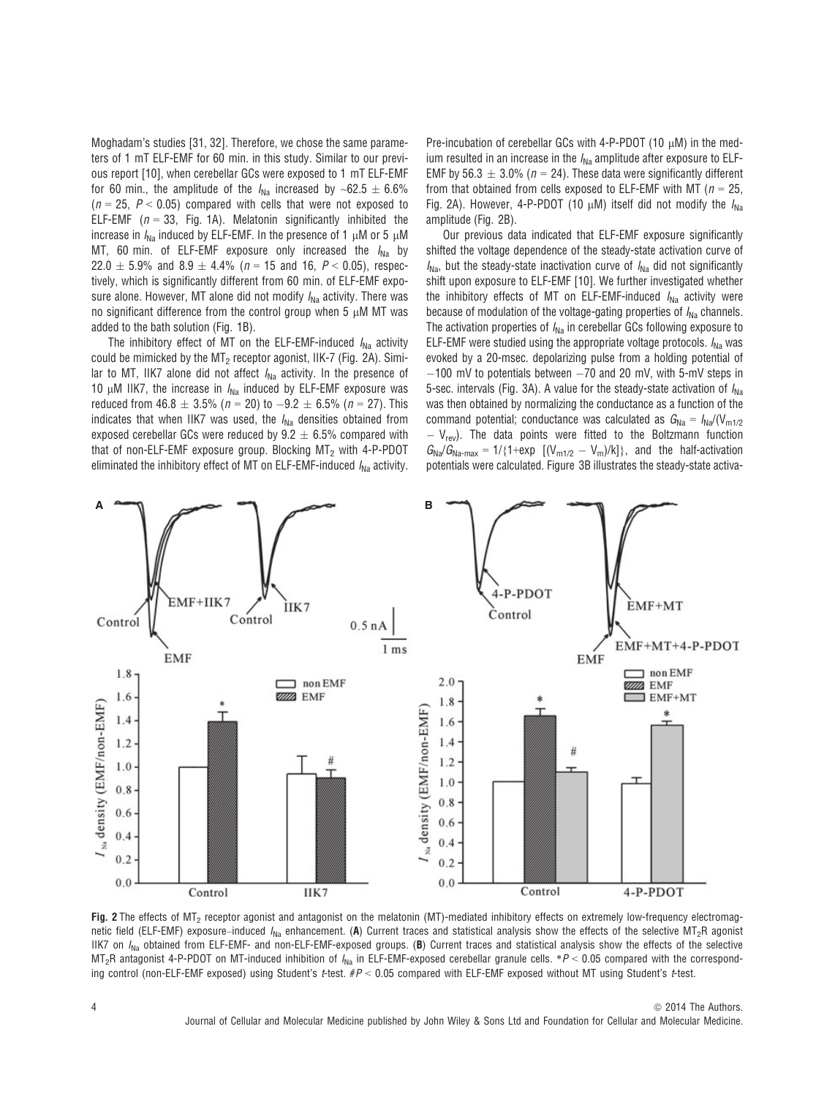Moghadam's studies [31, 32]. Therefore, we chose the same parameters of 1 mT ELF-EMF for 60 min. in this study. Similar to our previous report [10], when cerebellar GCs were exposed to 1 mT ELF-EMF for 60 min., the amplitude of the  $I_{\text{Na}}$  increased by ~62.5  $\pm$  6.6%  $(n = 25, P < 0.05)$  compared with cells that were not exposed to ELF-EMF ( $n = 33$ , Fig. 1A). Melatonin significantly inhibited the increase in  $I_{Na}$  induced by ELF-EMF. In the presence of 1  $\mu$ M or 5  $\mu$ M MT, 60 min. of ELF-EMF exposure only increased the  $I_{\text{Na}}$  by  $22.0 \pm 5.9\%$  and  $8.9 \pm 4.4\%$  ( $n = 15$  and 16,  $P < 0.05$ ), respectively, which is significantly different from 60 min. of ELF-EMF exposure alone. However, MT alone did not modify  $I_{N2}$  activity. There was no significant difference from the control group when  $5 \mu M$  MT was added to the bath solution (Fig. 1B).

The inhibitory effect of MT on the ELF-EMF-induced  $I_{\text{Na}}$  activity could be mimicked by the  $MT<sub>2</sub>$  receptor agonist, IIK-7 (Fig. 2A). Similar to MT, IIK7 alone did not affect  $I_{Na}$  activity. In the presence of 10  $\mu$ M IIK7, the increase in  $I_{\text{Na}}$  induced by ELF-EMF exposure was reduced from 46.8  $\pm$  3.5% (n = 20) to -9.2  $\pm$  6.5% (n = 27). This indicates that when IIK7 was used, the  $I_{\text{Na}}$  densities obtained from exposed cerebellar GCs were reduced by  $9.2 \pm 6.5\%$  compared with that of non-ELF-EMF exposure group. Blocking  $MT<sub>2</sub>$  with 4-P-PDOT eliminated the inhibitory effect of MT on ELF-EMF-induced  $I_{Na}$  activity.

Pre-incubation of cerebellar GCs with 4-P-PDOT (10 uM) in the medium resulted in an increase in the  $I_{\text{Na}}$  amplitude after exposure to ELF-EMF by 56.3  $\pm$  3.0% (n = 24). These data were significantly different from that obtained from cells exposed to ELF-EMF with MT ( $n = 25$ , Fig. 2A). However, 4-P-PDOT (10  $\mu$ M) itself did not modify the  $I_{NA}$ amplitude (Fig. 2B).

Our previous data indicated that ELF-EMF exposure significantly shifted the voltage dependence of the steady-state activation curve of  $I_{\text{Na}}$ , but the steady-state inactivation curve of  $I_{\text{Na}}$  did not significantly shift upon exposure to ELF-EMF [10]. We further investigated whether the inhibitory effects of MT on ELF-EMF-induced  $I_{NA}$  activity were because of modulation of the voltage-gating properties of  $I_{\text{Na}}$  channels. The activation properties of  $I_{\text{Na}}$  in cerebellar GCs following exposure to ELF-EMF were studied using the appropriate voltage protocols.  $I_{\text{Na}}$  was evoked by a 20-msec. depolarizing pulse from a holding potential of  $-100$  mV to potentials between  $-70$  and 20 mV, with 5-mV steps in 5-sec. intervals (Fig. 3A). A value for the steady-state activation of  $I_{\text{Na}}$ was then obtained by normalizing the conductance as a function of the command potential; conductance was calculated as  $G_{\text{Na}} = I_{\text{Na}}/(V_{\text{m1/2}})$  $-V_{\text{rev}}$ ). The data points were fitted to the Boltzmann function  $G_{\text{Na}}/G_{\text{Na-max}} = 1/\{1+\exp\left[(V_{\text{m1/2}} - V_{\text{m}})/k\right]\},$  and the half-activation potentials were calculated. Figure 3B illustrates the steady-state activa-



Fig. 2 The effects of  $MT<sub>2</sub>$  receptor agonist and antagonist on the melatonin (MT)-mediated inhibitory effects on extremely low-frequency electromagnetic field (ELF-EMF) exposure–induced  $I_{\text{Na}}$  enhancement. (A) Current traces and statistical analysis show the effects of the selective MT<sub>2</sub>R agonist IIK7 on  $I_{\text{Na}}$  obtained from ELF-EMF- and non-ELF-EMF-exposed groups. (B) Current traces and statistical analysis show the effects of the selective  $MT<sub>2</sub>R$  antagonist 4-P-PDOT on MT-induced inhibition of  $I<sub>Na</sub>$  in ELF-EMF-exposed cerebellar granule cells. \*P < 0.05 compared with the corresponding control (non-ELF-EMF exposed) using Student's t-test.  $\#P < 0.05$  compared with ELF-EMF exposed without MT using Student's t-test.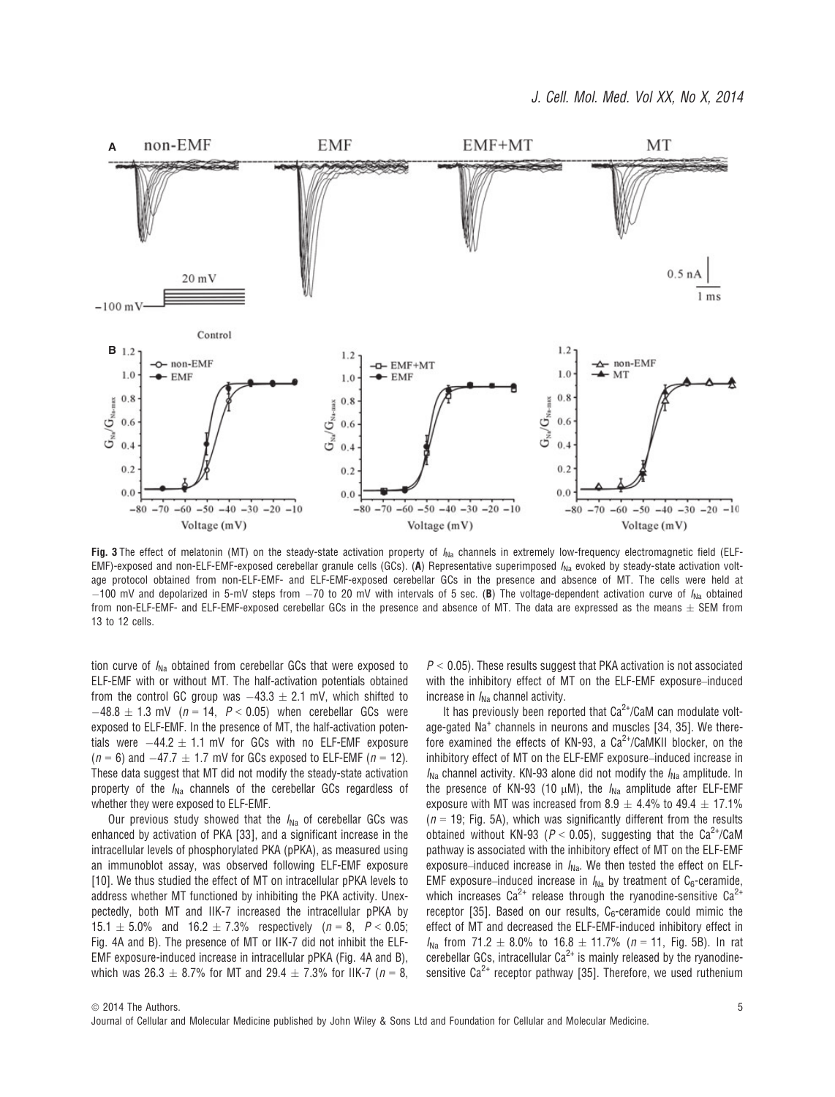

Fig. 3 The effect of melatonin (MT) on the steady-state activation property of  $I_{Na}$  channels in extremely low-frequency electromagnetic field (ELF-EMF)-exposed and non-ELF-EMF-exposed cerebellar granule cells (GCs). (A) Representative superimposed  $I_{\text{Na}}$  evoked by steady-state activation voltage protocol obtained from non-ELF-EMF- and ELF-EMF-exposed cerebellar GCs in the presence and absence of MT. The cells were held at  $-100$  mV and depolarized in 5-mV steps from  $-70$  to 20 mV with intervals of 5 sec. (B) The voltage-dependent activation curve of  $I_{\text{Na}}$  obtained from non-ELF-EMF- and ELF-EMF-exposed cerebellar GCs in the presence and absence of MT. The data are expressed as the means  $\pm$  SEM from 13 to 12 cells.

tion curve of  $I_{\text{Na}}$  obtained from cerebellar GCs that were exposed to ELF-EMF with or without MT. The half-activation potentials obtained from the control GC group was  $-43.3 \pm 2.1$  mV, which shifted to  $-48.8 \pm 1.3$  mV ( $n = 14$ ,  $P < 0.05$ ) when cerebellar GCs were exposed to ELF-EMF. In the presence of MT, the half-activation potentials were  $-44.2 \pm 1.1$  mV for GCs with no ELF-EMF exposure  $(n = 6)$  and  $-47.7 \pm 1.7$  mV for GCs exposed to ELF-EMF ( $n = 12$ ). These data suggest that MT did not modify the steady-state activation property of the  $I_{\text{Na}}$  channels of the cerebellar GCs regardless of whether they were exposed to ELF-EMF.

Our previous study showed that the  $I_{\text{Na}}$  of cerebellar GCs was enhanced by activation of PKA [33], and a significant increase in the intracellular levels of phosphorylated PKA (pPKA), as measured using an immunoblot assay, was observed following ELF-EMF exposure [10]. We thus studied the effect of MT on intracellular pPKA levels to address whether MT functioned by inhibiting the PKA activity. Unexpectedly, both MT and IIK-7 increased the intracellular pPKA by 15.1  $\pm$  5.0% and 16.2  $\pm$  7.3% respectively (n = 8, P < 0.05; Fig. 4A and B). The presence of MT or IIK-7 did not inhibit the ELF-EMF exposure-induced increase in intracellular pPKA (Fig. 4A and B), which was  $26.3 \pm 8.7\%$  for MT and  $29.4 \pm 7.3\%$  for IIK-7 ( $n = 8$ ,  $P < 0.05$ ). These results suggest that PKA activation is not associated with the inhibitory effect of MT on the ELF-EMF exposure–induced increase in  $I_{\text{Na}}$  channel activity.

It has previously been reported that  $Ca^{2+}/CaM$  can modulate voltage-gated Na<sup>+</sup> channels in neurons and muscles [34, 35]. We therefore examined the effects of KN-93, a  $Ca^{2+}/CaMKII$  blocker, on the inhibitory effect of MT on the ELF-EMF exposure–induced increase in  $I_{\text{Na}}$  channel activity. KN-93 alone did not modify the  $I_{\text{Na}}$  amplitude. In the presence of KN-93 (10  $\mu$ M), the  $I_{Na}$  amplitude after ELF-EMF exposure with MT was increased from 8.9  $\pm$  4.4% to 49.4  $\pm$  17.1%  $(n = 19$ : Fig. 5A), which was significantly different from the results obtained without KN-93 ( $P < 0.05$ ), suggesting that the Ca<sup>2+</sup>/CaM pathway is associated with the inhibitory effect of MT on the ELF-EMF exposure–induced increase in  $I_{\text{Na}}$ . We then tested the effect on ELF-EMF exposure–induced increase in  $I_{\text{Na}}$  by treatment of C<sub>6</sub>-ceramide, which increases  $Ca^{2+}$  release through the ryanodine-sensitive  $Ca^{2+}$ receptor [35]. Based on our results,  $C_6$ -ceramide could mimic the effect of MT and decreased the ELF-EMF-induced inhibitory effect in  $I_{\text{Na}}$  from 71.2  $\pm$  8.0% to 16.8  $\pm$  11.7% (n = 11, Fig. 5B). In rat cerebellar GCs, intracellular  $Ca^{2+}$  is mainly released by the ryanodinesensitive  $Ca^{2+}$  receptor pathway [35]. Therefore, we used ruthenium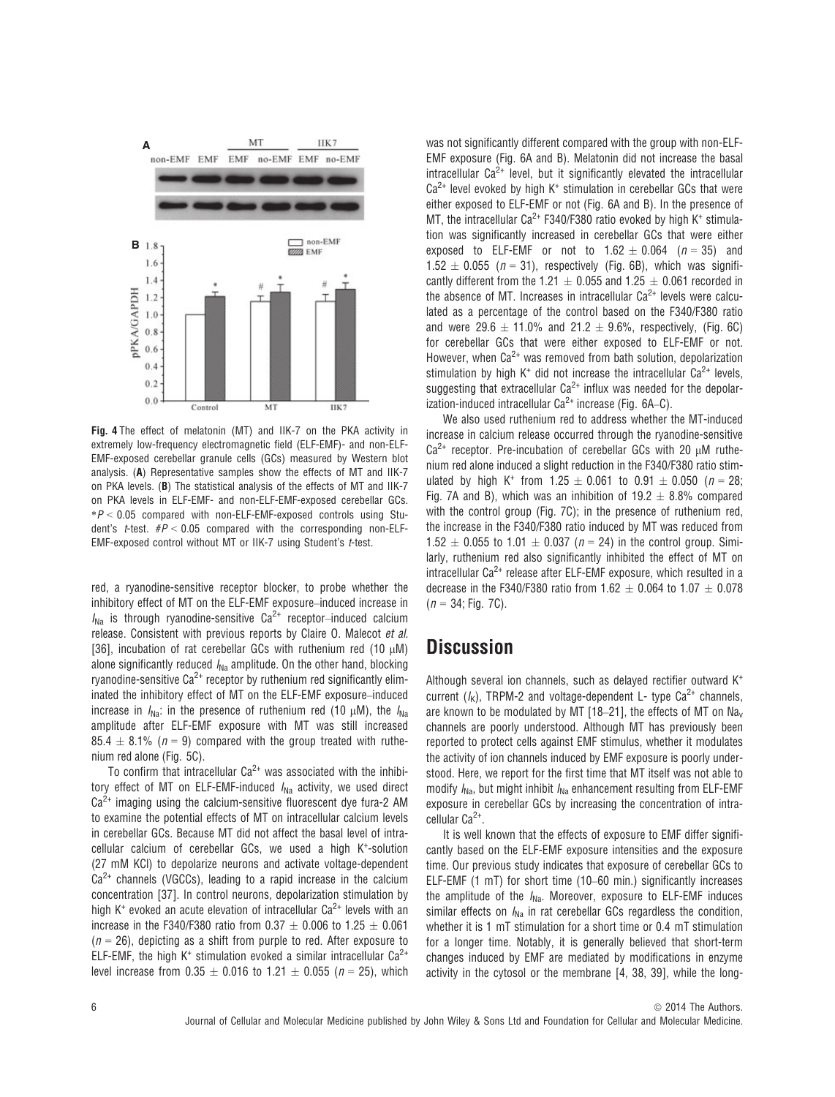

Fig. 4 The effect of melatonin (MT) and IIK-7 on the PKA activity in extremely low-frequency electromagnetic field (ELF-EMF)- and non-ELF-EMF-exposed cerebellar granule cells (GCs) measured by Western blot analysis. (A) Representative samples show the effects of MT and IIK-7 on PKA levels. (B) The statistical analysis of the effects of MT and IIK-7 on PKA levels in ELF-EMF- and non-ELF-EMF-exposed cerebellar GCs.  $*P < 0.05$  compared with non-ELF-EMF-exposed controls using Student's *t*-test.  $\#P < 0.05$  compared with the corresponding non-ELF-EMF-exposed control without MT or IIK-7 using Student's t-test.

red, a ryanodine-sensitive receptor blocker, to probe whether the inhibitory effect of MT on the ELF-EMF exposure–induced increase in  $I_{\text{Na}}$  is through ryanodine-sensitive Ca<sup>2+</sup> receptor–induced calcium release. Consistent with previous reports by Claire O. Malecot et al. [36], incubation of rat cerebellar GCs with ruthenium red (10  $\mu$ M) alone significantly reduced  $I_{\text{Na}}$  amplitude. On the other hand, blocking ryanodine-sensitive  $Ca^{2+}$  receptor by ruthenium red significantly eliminated the inhibitory effect of MT on the ELF-EMF exposure–induced increase in  $I_{\text{Na}}$ : in the presence of ruthenium red (10  $\mu$ M), the  $I_{\text{Na}}$ amplitude after ELF-EMF exposure with MT was still increased 85.4  $\pm$  8.1% (n = 9) compared with the group treated with ruthenium red alone (Fig. 5C).

To confirm that intracellular  $Ca^{2+}$  was associated with the inhibitory effect of MT on ELF-EMF-induced  $I_{\text{Na}}$  activity, we used direct  $Ca<sup>2+</sup>$  imaging using the calcium-sensitive fluorescent dye fura-2 AM to examine the potential effects of MT on intracellular calcium levels in cerebellar GCs. Because MT did not affect the basal level of intracellular calcium of cerebellar GCs, we used a high K<sup>+</sup>-solution (27 mM KCl) to depolarize neurons and activate voltage-dependent  $Ca<sup>2+</sup>$  channels (VGCCs), leading to a rapid increase in the calcium concentration [37]. In control neurons, depolarization stimulation by high K<sup>+</sup> evoked an acute elevation of intracellular  $Ca^{2+}$  levels with an increase in the F340/F380 ratio from  $0.37 \pm 0.006$  to  $1.25 \pm 0.061$  $(n = 26)$ , depicting as a shift from purple to red. After exposure to ELF-EMF, the high  $K^+$  stimulation evoked a similar intracellular  $Ca^{2+}$ level increase from  $0.35 \pm 0.016$  to  $1.21 \pm 0.055$  (n = 25), which was not significantly different compared with the group with non-FLF-EMF exposure (Fig. 6A and B). Melatonin did not increase the basal intracellular  $Ca^{2+}$  level, but it significantly elevated the intracellular  $Ca<sup>2+</sup>$  level evoked by high K<sup>+</sup> stimulation in cerebellar GCs that were either exposed to ELF-EMF or not (Fig. 6A and B). In the presence of MT, the intracellular  $Ca^{2+}$  F340/F380 ratio evoked by high K<sup>+</sup> stimulation was significantly increased in cerebellar GCs that were either exposed to ELF-EMF or not to  $1.62 \pm 0.064$  ( $n = 35$ ) and  $1.52 \pm 0.055$  ( $n = 31$ ), respectively (Fig. 6B), which was significantly different from the 1.21  $\pm$  0.055 and 1.25  $\pm$  0.061 recorded in the absence of MT. Increases in intracellular  $Ca<sup>2+</sup>$  levels were calculated as a percentage of the control based on the F340/F380 ratio and were 29.6  $\pm$  11.0% and 21.2  $\pm$  9.6%, respectively, (Fig. 6C) for cerebellar GCs that were either exposed to ELF-EMF or not. However, when  $Ca^{2+}$  was removed from bath solution, depolarization stimulation by high  $K^+$  did not increase the intracellular  $Ca^{2+}$  levels, suggesting that extracellular  $Ca^{2+}$  influx was needed for the depolarization-induced intracellular  $Ca^{2+}$  increase (Fig. 6A–C).

We also used ruthenium red to address whether the MT-induced increase in calcium release occurred through the ryanodine-sensitive  $Ca^{2+}$  receptor. Pre-incubation of cerebellar GCs with 20  $\mu$ M ruthenium red alone induced a slight reduction in the F340/F380 ratio stimulated by high K<sup>+</sup> from 1.25  $\pm$  0.061 to 0.91  $\pm$  0.050 (n = 28; Fig. 7A and B), which was an inhibition of 19.2  $\pm$  8.8% compared with the control group (Fig. 7C); in the presence of ruthenium red, the increase in the F340/F380 ratio induced by MT was reduced from 1.52  $\pm$  0.055 to 1.01  $\pm$  0.037 (n = 24) in the control group. Similarly, ruthenium red also significantly inhibited the effect of MT on intracellular  $Ca^{2+}$  release after ELF-EMF exposure, which resulted in a decrease in the F340/F380 ratio from 1.62  $\pm$  0.064 to 1.07  $\pm$  0.078  $(n = 34;$  Fig. 7C).

## **Discussion**

Although several ion channels, such as delayed rectifier outward K<sup>+</sup> current  $(I_K)$ , TRPM-2 and voltage-dependent L- type Ca<sup>2+</sup> channels, are known to be modulated by MT [18–21], the effects of MT on Na<sub>v</sub> channels are poorly understood. Although MT has previously been reported to protect cells against EMF stimulus, whether it modulates the activity of ion channels induced by EMF exposure is poorly understood. Here, we report for the first time that MT itself was not able to modify  $I_{\text{Na}}$ , but might inhibit  $I_{\text{Na}}$  enhancement resulting from ELF-EMF exposure in cerebellar GCs by increasing the concentration of intracellular Ca<sup>2+</sup>.

It is well known that the effects of exposure to EMF differ significantly based on the ELF-EMF exposure intensities and the exposure time. Our previous study indicates that exposure of cerebellar GCs to ELF-EMF (1 mT) for short time (10–60 min.) significantly increases the amplitude of the  $I_{\text{Na}}$ . Moreover, exposure to ELF-EMF induces similar effects on  $I_{\text{Na}}$  in rat cerebellar GCs regardless the condition, whether it is 1 mT stimulation for a short time or 0.4 mT stimulation for a longer time. Notably, it is generally believed that short-term changes induced by EMF are mediated by modifications in enzyme activity in the cytosol or the membrane [4, 38, 39], while the long-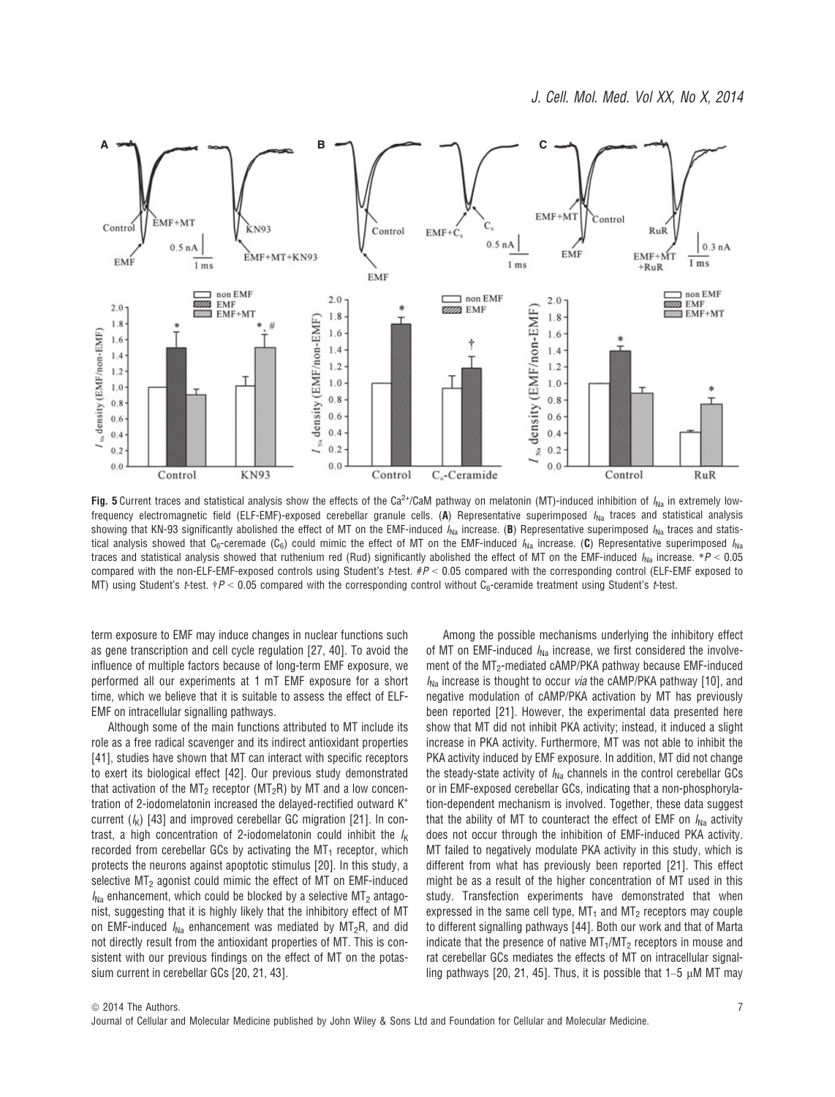

Fig. 5 Current traces and statistical analysis show the effects of the Ca<sup>2+</sup>/CaM pathway on melatonin (MT)-induced inhibition of  $I_{\text{Na}}$  in extremely lowfrequency electromagnetic field (ELF-EMF)-exposed cerebellar granule cells. (A) Representative superimposed  $I_{Na}$  traces and statistical analysis showing that KN-93 significantly abolished the effect of MT on the EMF-induced  $I_{\text{Na}}$  increase. (B) Representative superimposed  $I_{\text{Na}}$  traces and statistical analysis showed that C<sub>6</sub>-ceremade (C<sub>6</sub>) could mimic the effect of MT on the EMF-induced  $I_{Na}$  increase. (C) Representative superimposed  $I_{Na}$ traces and statistical analysis showed that ruthenium red (Rud) significantly abolished the effect of MT on the EMF-induced  $I_{\text{Na}}$  increase. \*P < 0.05 compared with the non-ELF-EMF-exposed controls using Student's  $t$ -test.  $\#P < 0.05$  compared with the corresponding control (ELF-EMF exposed to MT) using Student's *t*-test.  $\tau P < 0.05$  compared with the corresponding control without C<sub>6</sub>-ceramide treatment using Student's *t*-test.

term exposure to EMF may induce changes in nuclear functions such as gene transcription and cell cycle regulation [27, 40]. To avoid the influence of multiple factors because of long-term EMF exposure, we performed all our experiments at 1 mT EMF exposure for a short time, which we believe that it is suitable to assess the effect of ELF-EMF on intracellular signalling pathways.

Although some of the main functions attributed to MT include its role as a free radical scavenger and its indirect antioxidant properties [41], studies have shown that MT can interact with specific receptors to exert its biological effect [42]. Our previous study demonstrated that activation of the  $MT_2$  receptor (MT<sub>2</sub>R) by MT and a low concentration of 2-iodomelatonin increased the delayed-rectified outward K<sup>+</sup> current  $(k)$  [43] and improved cerebellar GC migration [21]. In contrast, a high concentration of 2-iodomelatonin could inhibit the  $I_K$ recorded from cerebellar GCs by activating the  $MT<sub>1</sub>$  receptor, which protects the neurons against apoptotic stimulus [20]. In this study, a selective MT<sub>2</sub> agonist could mimic the effect of MT on EMF-induced  $I_{\text{Na}}$  enhancement, which could be blocked by a selective  $\text{MT}_2$  antagonist, suggesting that it is highly likely that the inhibitory effect of MT on EMF-induced  $I_{Na}$  enhancement was mediated by  $MT_2R$ , and did not directly result from the antioxidant properties of MT. This is consistent with our previous findings on the effect of MT on the potassium current in cerebellar GCs [20, 21, 43].

Among the possible mechanisms underlying the inhibitory effect of MT on EMF-induced  $I_{\text{Na}}$  increase, we first considered the involvement of the MT<sub>2</sub>-mediated cAMP/PKA pathway because EMF-induced  $I_{\text{Na}}$  increase is thought to occur via the cAMP/PKA pathway [10], and negative modulation of cAMP/PKA activation by MT has previously been reported [21]. However, the experimental data presented here show that MT did not inhibit PKA activity; instead, it induced a slight increase in PKA activity. Furthermore, MT was not able to inhibit the PKA activity induced by EMF exposure. In addition, MT did not change the steady-state activity of  $I_{\text{Na}}$  channels in the control cerebellar GCs or in EMF-exposed cerebellar GCs, indicating that a non-phosphorylation-dependent mechanism is involved. Together, these data suggest that the ability of MT to counteract the effect of EMF on  $I_{Na}$  activity does not occur through the inhibition of EMF-induced PKA activity. MT failed to negatively modulate PKA activity in this study, which is different from what has previously been reported [21]. This effect might be as a result of the higher concentration of MT used in this study. Transfection experiments have demonstrated that when expressed in the same cell type,  $MT<sub>1</sub>$  and  $MT<sub>2</sub>$  receptors may couple to different signalling pathways [44]. Both our work and that of Marta indicate that the presence of native  $MT<sub>1</sub>/MT<sub>2</sub>$  receptors in mouse and rat cerebellar GCs mediates the effects of MT on intracellular signalling pathways [20, 21, 45]. Thus, it is possible that  $1-5 \mu M$  MT may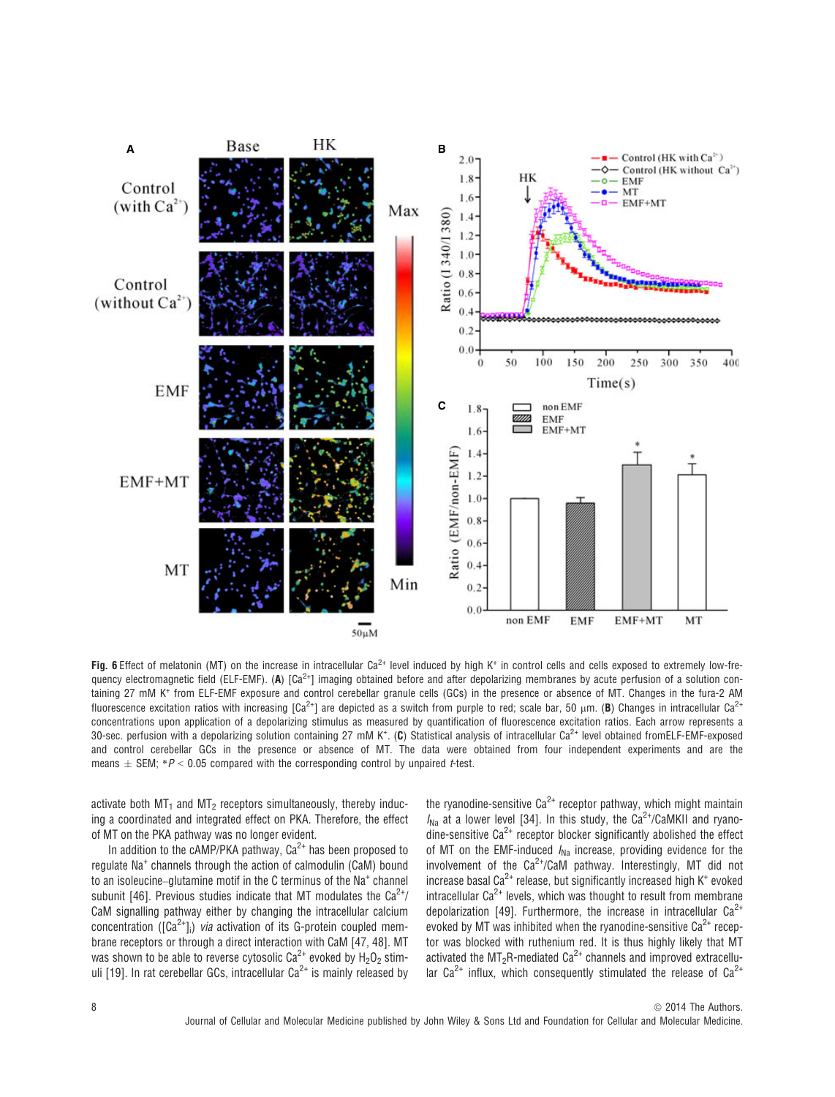

Fig. 6 Effect of melatonin (MT) on the increase in intracellular Ca<sup>2+</sup> level induced by high K<sup>+</sup> in control cells and cells exposed to extremely low-frequency electromagnetic field (ELF-EMF). (A)  $\lceil Ca^{2+} \rceil$  imaging obtained before and after depolarizing membranes by acute perfusion of a solution containing 27 mM K<sup>+</sup> from ELF-EMF exposure and control cerebellar granule cells (GCs) in the presence or absence of MT. Changes in the fura-2 AM fluorescence excitation ratios with increasing  $\lceil Ca^{2+} \rceil$  are depicted as a switch from purple to red; scale bar, 50  $\mu$ m. (B) Changes in intracellular Ca<sup>2+</sup> concentrations upon application of a depolarizing stimulus as measured by quantification of fluorescence excitation ratios. Each arrow represents a 30-sec. perfusion with a depolarizing solution containing 27 mM K<sup>+</sup>. (C) Statistical analysis of intracellular Ca<sup>2+</sup> level obtained fromELF-EMF-exposed and control cerebellar GCs in the presence or absence of MT. The data were obtained from four independent experiments and are the means  $\pm$  SEM; \*P < 0.05 compared with the corresponding control by unpaired t-test.

activate both  $MT_1$  and  $MT_2$  receptors simultaneously, thereby inducing a coordinated and integrated effect on PKA. Therefore, the effect of MT on the PKA pathway was no longer evident.

In addition to the cAMP/PKA pathway,  $Ca^{2+}$  has been proposed to regulate Na<sup>+</sup> channels through the action of calmodulin (CaM) bound to an isoleucine–glutamine motif in the C terminus of the Na<sup>+</sup> channel subunit [46]. Previous studies indicate that MT modulates the  $Ca^{2+}/$ CaM signalling pathway either by changing the intracellular calcium concentration ( $[Ca^{2+}]_i$ ) *via* activation of its G-protein coupled membrane receptors or through a direct interaction with CaM [47, 48]. MT was shown to be able to reverse cytosolic Ca<sup>2+</sup> evoked by  $H_2O_2$  stimuli [19]. In rat cerebellar GCs, intracellular  $Ca^{2+}$  is mainly released by

the ryanodine-sensitive  $Ca^{2+}$  receptor pathway, which might maintain  $I_{N_2}$  at a lower level [34]. In this study, the Ca<sup>2+</sup>/CaMKII and ryanodine-sensitive  $Ca^{2+}$  receptor blocker significantly abolished the effect of MT on the EMF-induced  $I_{\text{Na}}$  increase, providing evidence for the involvement of the  $Ca^{2+}/CaM$  pathway. Interestingly, MT did not increase basal Ca<sup>2+</sup> release, but significantly increased high  $K^+$  evoked intracellular  $Ca^{2+}$  levels, which was thought to result from membrane depolarization [49]. Furthermore, the increase in intracellular  $Ca^{2+}$ evoked by MT was inhibited when the ryanodine-sensitive  $Ca^{2+}$  receptor was blocked with ruthenium red. It is thus highly likely that MT activated the MT<sub>2</sub>R-mediated Ca<sup>2+</sup> channels and improved extracellular  $Ca^{2+}$  influx, which consequently stimulated the release of  $Ca^{2+}$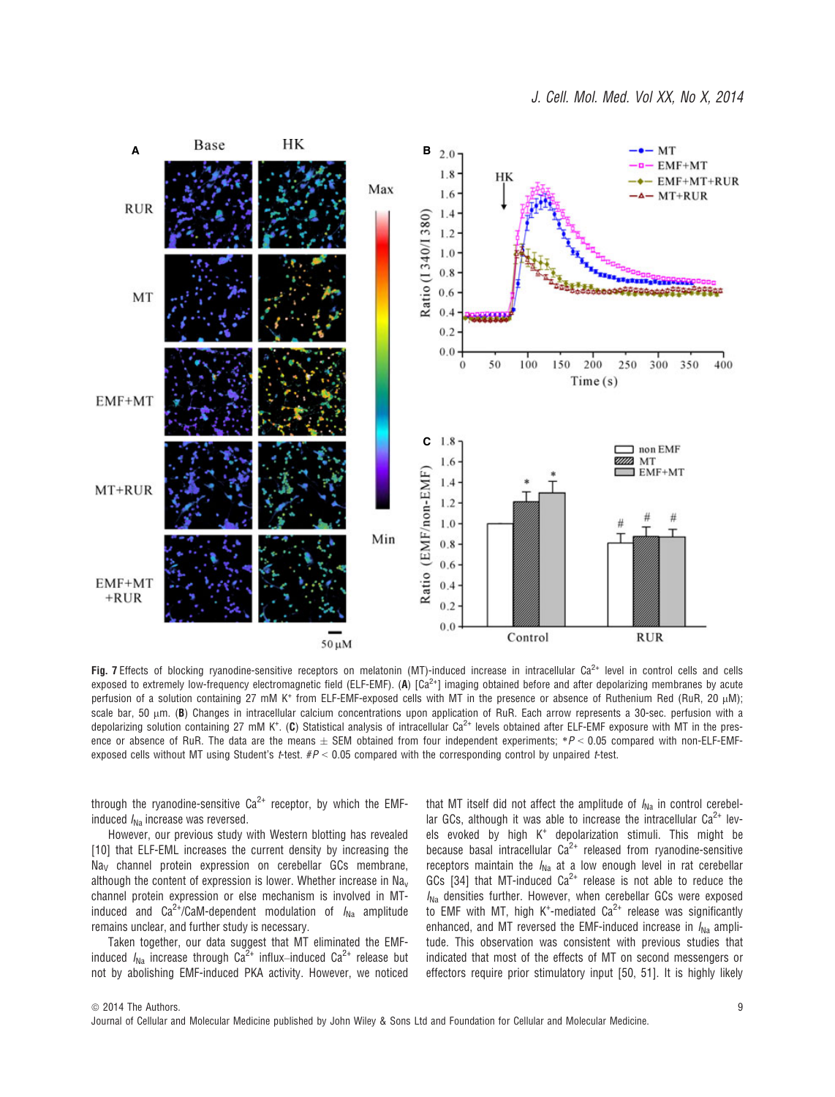

Fig. 7 Effects of blocking ryanodine-sensitive receptors on melatonin (MT)-induced increase in intracellular  $Ca^{2+}$  level in control cells and cells exposed to extremely low-frequency electromagnetic field (ELF-EMF). (A)  $[Ca<sup>2+</sup>]$  imaging obtained before and after depolarizing membranes by acute perfusion of a solution containing 27 mM K<sup>+</sup> from ELF-EMF-exposed cells with MT in the presence or absence of Ruthenium Red (RuR, 20 uM); scale bar, 50  $\mu$ m. (B) Changes in intracellular calcium concentrations upon application of RuR. Each arrow represents a 30-sec. perfusion with a depolarizing solution containing 27 mM K<sup>+</sup>. (C) Statistical analysis of intracellular Ca<sup>2+</sup> levels obtained after ELF-EMF exposure with MT in the presence or absence of RuR. The data are the means  $\pm$  SEM obtained from four independent experiments; \*P < 0.05 compared with non-ELF-EMFexposed cells without MT using Student's t-test.  $\#P < 0.05$  compared with the corresponding control by unpaired t-test.

through the ryanodine-sensitive  $Ca^{2+}$  receptor, by which the EMFinduced  $I_{\text{Na}}$  increase was reversed.

However, our previous study with Western blotting has revealed [10] that ELF-EML increases the current density by increasing the Na<sub>v</sub> channel protein expression on cerebellar GCs membrane, although the content of expression is lower. Whether increase in  $Na<sub>v</sub>$ channel protein expression or else mechanism is involved in MTinduced and  $Ca^{2+}/CaM$ -dependent modulation of  $I_{Na}$  amplitude remains unclear, and further study is necessary.

Taken together, our data suggest that MT eliminated the EMFinduced  $I_{\text{Na}}$  increase through  $Ca^{2+}$  influx–induced  $Ca^{2+}$  release but not by abolishing EMF-induced PKA activity. However, we noticed that MT itself did not affect the amplitude of  $I_{N_a}$  in control cerebellar GCs, although it was able to increase the intracellular  $Ca^{2+}$  levels evoked by high K<sup>+</sup> depolarization stimuli. This might be because basal intracellular  $Ca^{2+}$  released from ryanodine-sensitive receptors maintain the  $I_{\text{Na}}$  at a low enough level in rat cerebellar GCs [34] that MT-induced  $Ca^{2+}$  release is not able to reduce the  $I_{\text{Na}}$  densities further. However, when cerebellar GCs were exposed to EMF with MT, high K<sup>+</sup>-mediated  $Ca^{2+}$  release was significantly enhanced, and MT reversed the EMF-induced increase in  $I_{Na}$  amplitude. This observation was consistent with previous studies that indicated that most of the effects of MT on second messengers or effectors require prior stimulatory input [50, 51]. It is highly likely

 $©$  2014 The Authors. Journal of Cellular and Molecular Medicine published by John Wiley & Sons Ltd and Foundation for Cellular and Molecular Medicine.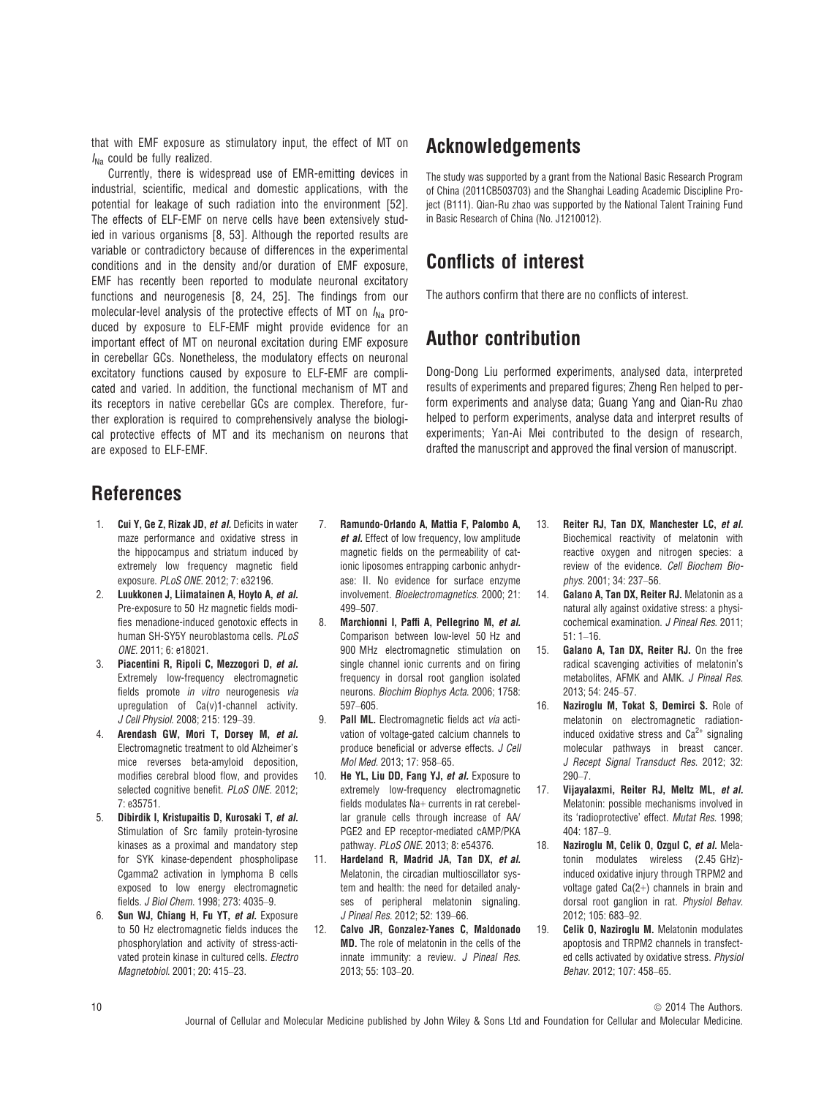that with EMF exposure as stimulatory input, the effect of MT on  $I_{\text{Na}}$  could be fully realized.

Currently, there is widespread use of EMR-emitting devices in industrial, scientific, medical and domestic applications, with the potential for leakage of such radiation into the environment [52]. The effects of ELF-EMF on nerve cells have been extensively studied in various organisms [8, 53]. Although the reported results are variable or contradictory because of differences in the experimental conditions and in the density and/or duration of EMF exposure, EMF has recently been reported to modulate neuronal excitatory functions and neurogenesis [8, 24, 25]. The findings from our molecular-level analysis of the protective effects of MT on  $I_{N_a}$  produced by exposure to ELF-EMF might provide evidence for an important effect of MT on neuronal excitation during EMF exposure in cerebellar GCs. Nonetheless, the modulatory effects on neuronal excitatory functions caused by exposure to ELF-EMF are complicated and varied. In addition, the functional mechanism of MT and its receptors in native cerebellar GCs are complex. Therefore, further exploration is required to comprehensively analyse the biological protective effects of MT and its mechanism on neurons that are exposed to ELF-EMF.

# Acknowledgements

The study was supported by a grant from the National Basic Research Program of China (2011CB503703) and the Shanghai Leading Academic Discipline Project (B111). Qian-Ru zhao was supported by the National Talent Training Fund in Basic Research of China (No. J1210012).

# Conflicts of interest

The authors confirm that there are no conflicts of interest.

# Author contribution

Dong-Dong Liu performed experiments, analysed data, interpreted results of experiments and prepared figures; Zheng Ren helped to perform experiments and analyse data; Guang Yang and Qian-Ru zhao helped to perform experiments, analyse data and interpret results of experiments; Yan-Ai Mei contributed to the design of research, drafted the manuscript and approved the final version of manuscript.

# References

- 1. Cui Y, Ge Z, Rizak JD, et al. Deficits in water maze performance and oxidative stress in the hippocampus and striatum induced by extremely low frequency magnetic field exposure. PLoS ONE. 2012; 7: e32196.
- 2. Luukkonen J, Liimatainen A, Hoyto A, et al. Pre-exposure to 50 Hz magnetic fields modifies menadione-induced genotoxic effects in human SH-SY5Y neuroblastoma cells. PLoS ONE. 2011; 6: e18021.
- 3. Piacentini R, Ripoli C, Mezzogori D, et al. Extremely low-frequency electromagnetic fields promote in vitro neurogenesis via upregulation of Ca(v)1-channel activity. J Cell Physiol. 2008; 215: 129–39.
- 4. Arendash GW, Mori T, Dorsey M, et al. Electromagnetic treatment to old Alzheimer's mice reverses beta-amyloid deposition, modifies cerebral blood flow, and provides selected cognitive benefit. PLoS ONE. 2012; 7: e35751.
- 5. Dibirdik I, Kristupaitis D, Kurosaki T, et al. Stimulation of Src family protein-tyrosine kinases as a proximal and mandatory step for SYK kinase-dependent phospholipase Cgamma2 activation in lymphoma B cells exposed to low energy electromagnetic fields. J Biol Chem. 1998; 273: 4035–9.
- 6. Sun WJ, Chiang H, Fu YT, et al. Exposure to 50 Hz electromagnetic fields induces the phosphorylation and activity of stress-activated protein kinase in cultured cells. Electro Magnetobiol. 2001; 20: 415–23.
- 7. Ramundo-Orlando A, Mattia F, Palombo A, et al. Effect of low frequency, low amplitude magnetic fields on the permeability of cationic liposomes entrapping carbonic anhydrase: II. No evidence for surface enzyme involvement. Bioelectromagnetics. 2000; 21: 499–507.
- 8. Marchionni I, Paffi A, Pellegrino M, et al. Comparison between low-level 50 Hz and 900 MHz electromagnetic stimulation on single channel ionic currents and on firing frequency in dorsal root ganglion isolated neurons. Biochim Biophys Acta. 2006; 1758: 597–605.
- 9. Pall ML. Electromagnetic fields act via activation of voltage-gated calcium channels to produce beneficial or adverse effects. J Cell Mol Med. 2013; 17: 958–65.
- 10. He YL, Liu DD, Fang YJ, et al. Exposure to extremely low-frequency electromagnetic fields modulates Na+ currents in rat cerebellar granule cells through increase of AA/ PGE2 and EP receptor-mediated cAMP/PKA pathway. PLoS ONE. 2013; 8: e54376.
- 11. Hardeland R, Madrid JA, Tan DX, et al. Melatonin, the circadian multioscillator system and health: the need for detailed analyses of peripheral melatonin signaling. J Pineal Res. 2012; 52: 139–66.
- 12. Calvo JR, Gonzalez-Yanes C, Maldonado MD. The role of melatonin in the cells of the innate immunity: a review. J Pineal Res. 2013; 55: 103–20.
- 13. Reiter RJ, Tan DX, Manchester LC, et al. Biochemical reactivity of melatonin with reactive oxygen and nitrogen species: a review of the evidence. Cell Biochem Biophys. 2001; 34: 237–56.
- 14. Galano A, Tan DX, Reiter RJ. Melatonin as a natural ally against oxidative stress: a physicochemical examination. J Pineal Res. 2011; 51: 1–16.
- 15. Galano A, Tan DX, Reiter RJ. On the free radical scavenging activities of melatonin's metabolites, AFMK and AMK. J Pineal Res. 2013; 54: 245–57.
- 16. Naziroglu M, Tokat S, Demirci S. Role of melatonin on electromagnetic radiationinduced oxidative stress and  $Ca<sup>2+</sup>$  signaling molecular pathways in breast cancer. J Recept Signal Transduct Res. 2012; 32: 290–7.
- 17. Vijayalaxmi, Reiter RJ, Meltz ML, et al. Melatonin: possible mechanisms involved in its 'radioprotective' effect. Mutat Res. 1998; 404: 187–9.
- 18. Naziroglu M. Celik O. Ozgul C. et al. Melatonin modulates wireless (2.45 GHz) induced oxidative injury through TRPM2 and voltage gated Ca(2+) channels in brain and dorsal root ganglion in rat. Physiol Behav. 2012; 105: 683–92.
- 19. Celik O, Naziroglu M. Melatonin modulates apoptosis and TRPM2 channels in transfected cells activated by oxidative stress. Physiol Behav. 2012; 107: 458–65.